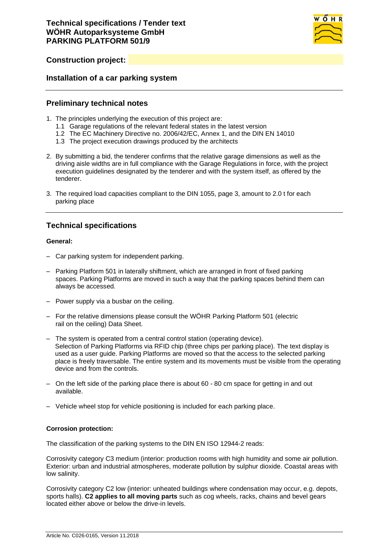

# **Construction project:**

### **Installation of a car parking system**

### **Preliminary technical notes**

- 1. The principles underlying the execution of this project are:
	- 1.1 Garage regulations of the relevant federal states in the latest version
	- 1.2 The EC Machinery Directive no. 2006/42/EC, Annex 1, and the DIN EN 14010
	- 1.3 The project execution drawings produced by the architects
- 2. By submitting a bid, the tenderer confirms that the relative garage dimensions as well as the driving aisle widths are in full compliance with the Garage Regulations in force, with the project execution guidelines designated by the tenderer and with the system itself, as offered by the tenderer.
- 3. The required load capacities compliant to the DIN 1055, page 3, amount to 2.0 t for each parking place

## **Technical specifications**

#### **General:**

- Car parking system for independent parking.
- Parking Platform 501 in laterally shiftment, which are arranged in front of fixed parking spaces. Parking Platforms are moved in such a way that the parking spaces behind them can always be accessed.
- Power supply via a busbar on the ceiling.
- For the relative dimensions please consult the WÖHR Parking Platform 501 (electric rail on the ceiling) Data Sheet.
- The system is operated from a central control station (operating device). Selection of Parking Platforms via RFID chip (three chips per parking place). The text display is used as a user guide. Parking Platforms are moved so that the access to the selected parking place is freely traversable. The entire system and its movements must be visible from the operating device and from the controls.
- On the left side of the parking place there is about 60 80 cm space for getting in and out available.
- Vehicle wheel stop for vehicle positioning is included for each parking place.

#### **Corrosion protection:**

The classification of the parking systems to the DIN EN ISO 12944-2 reads:

Corrosivity category C3 medium (interior: production rooms with high humidity and some air pollution. Exterior: urban and industrial atmospheres, moderate pollution by sulphur dioxide. Coastal areas with low salinity.

Corrosivity category C2 low (interior: unheated buildings where condensation may occur, e.g. depots, sports halls). **C2 applies to all moving parts** such as cog wheels, racks, chains and bevel gears located either above or below the drive-in levels.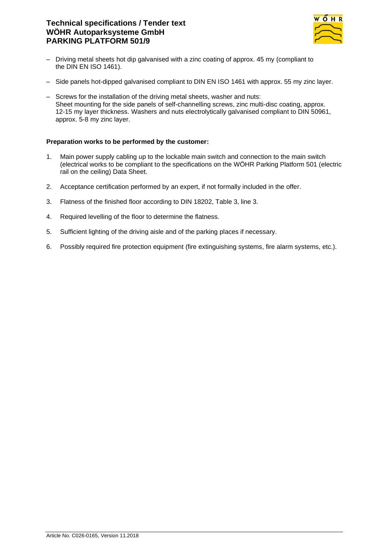# **Technical specifications / Tender text WÖHR Autoparksysteme GmbH PARKING PLATFORM 501/9**



- Driving metal sheets hot dip galvanised with a zinc coating of approx. 45 my (compliant to the DIN EN ISO 1461).
- Side panels hot-dipped galvanised compliant to DIN EN ISO 1461 with approx. 55 my zinc layer.
- Screws for the installation of the driving metal sheets, washer and nuts: Sheet mounting for the side panels of self-channelling screws, zinc multi-disc coating, approx. 12-15 my layer thickness. Washers and nuts electrolytically galvanised compliant to DIN 50961, approx. 5-8 my zinc layer.

### **Preparation works to be performed by the customer:**

- 1. Main power supply cabling up to the lockable main switch and connection to the main switch (electrical works to be compliant to the specifications on the WÖHR Parking Platform 501 (electric rail on the ceiling) Data Sheet.
- 2. Acceptance certification performed by an expert, if not formally included in the offer.
- 3. Flatness of the finished floor according to DIN 18202, Table 3, line 3.
- 4. Required levelling of the floor to determine the flatness.
- 5. Sufficient lighting of the driving aisle and of the parking places if necessary.
- 6. Possibly required fire protection equipment (fire extinguishing systems, fire alarm systems, etc.).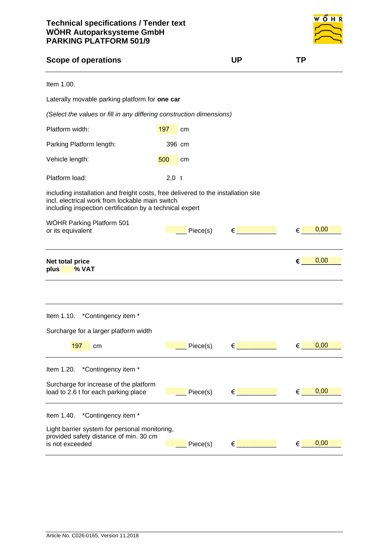

| <b>Scope of operations</b>                                                                                                                                                                       |         | <b>UP</b>                                        | TP                 |
|--------------------------------------------------------------------------------------------------------------------------------------------------------------------------------------------------|---------|--------------------------------------------------|--------------------|
| Item 1.00.                                                                                                                                                                                       |         |                                                  |                    |
| Laterally movable parking platform for one car                                                                                                                                                   |         |                                                  |                    |
| (Select the values or fill in any differing construction dimensions)                                                                                                                             |         |                                                  |                    |
| Platform width:                                                                                                                                                                                  | 197     | cm                                               |                    |
| Parking Platform length:                                                                                                                                                                         | 396 cm  |                                                  |                    |
| Vehicle length:                                                                                                                                                                                  | 500     | cm                                               |                    |
| Platform load:                                                                                                                                                                                   | $2,0$ t |                                                  |                    |
| including installation and freight costs, free delivered to the installation site<br>incl. electrical work from lockable main switch<br>including inspection certification by a technical expert |         |                                                  |                    |
| WÖHR Parking Platform 501<br>or its equivalent                                                                                                                                                   |         | $\epsilon$ and the set of $\epsilon$<br>Piece(s) | 0,00<br>€          |
| Net total price                                                                                                                                                                                  |         |                                                  | 0,00<br>€          |
| % VAT<br>plus                                                                                                                                                                                    |         |                                                  |                    |
|                                                                                                                                                                                                  |         |                                                  |                    |
| Item 1.10. *Contingency item *                                                                                                                                                                   |         |                                                  |                    |
| Surcharge for a larger platform width                                                                                                                                                            |         |                                                  |                    |
| 197 cm                                                                                                                                                                                           |         | $\epsilon$ and $\epsilon$<br>$\equiv$ Piece(s)   | 0,00<br>$\epsilon$ |
| *Contingency item *<br>Item 1.20.                                                                                                                                                                |         |                                                  |                    |
| Surcharge for increase of the platform<br>load to 2.6 t for each parking place                                                                                                                   |         | $\epsilon$ and the set of $\epsilon$<br>Piece(s) | 0,00<br>€          |
| *Contingency item *<br>Item 1.40.                                                                                                                                                                |         |                                                  |                    |
| Light barrier system for personal monitoring,<br>provided safety distance of min. 30 cm                                                                                                          |         |                                                  |                    |